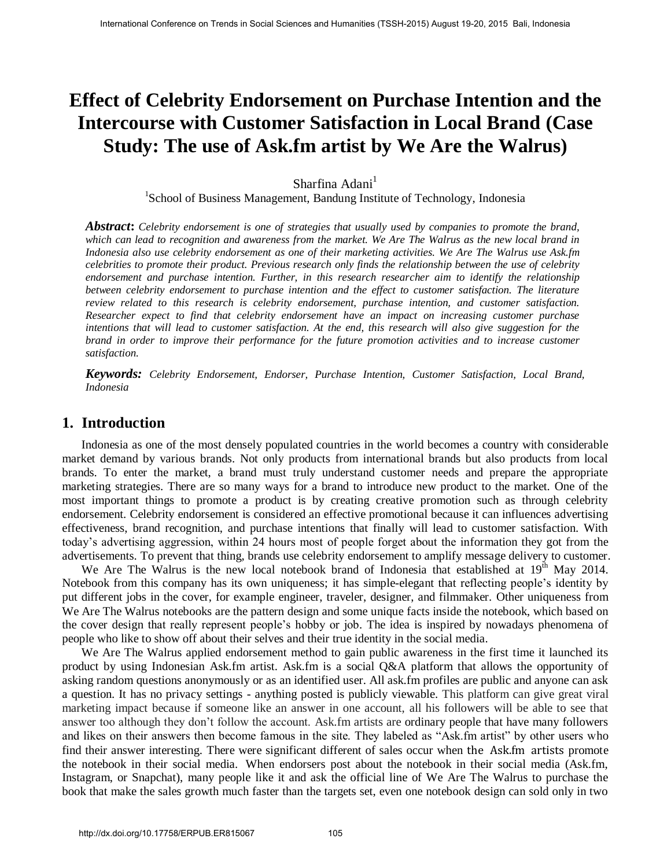# **Effect of Celebrity Endorsement on Purchase Intention and the Intercourse with Customer Satisfaction in Local Brand (Case Study: The use of Ask.fm artist by We Are the Walrus)**

Sharfina Adani<sup>1</sup>

<sup>1</sup>School of Business Management, Bandung Institute of Technology, Indonesia

*Abstract***:** *Celebrity endorsement is one of strategies that usually used by companies to promote the brand, which can lead to recognition and awareness from the market. We Are The Walrus as the new local brand in Indonesia also use celebrity endorsement as one of their marketing activities. We Are The Walrus use Ask.fm celebrities to promote their product. Previous research only finds the relationship between the use of celebrity endorsement and purchase intention. Further, in this research researcher aim to identify the relationship between celebrity endorsement to purchase intention and the effect to customer satisfaction. The literature review related to this research is celebrity endorsement, purchase intention, and customer satisfaction. Researcher expect to find that celebrity endorsement have an impact on increasing customer purchase intentions that will lead to customer satisfaction. At the end, this research will also give suggestion for the brand in order to improve their performance for the future promotion activities and to increase customer satisfaction.* 

*Keywords: Celebrity Endorsement, Endorser, Purchase Intention, Customer Satisfaction, Local Brand, Indonesia*

## **1. Introduction**

Indonesia as one of the most densely populated countries in the world becomes a country with considerable market demand by various brands. Not only products from international brands but also products from local brands. To enter the market, a brand must truly understand customer needs and prepare the appropriate marketing strategies. There are so many ways for a brand to introduce new product to the market. One of the most important things to promote a product is by creating creative promotion such as through celebrity endorsement. Celebrity endorsement is considered an effective promotional because it can influences advertising effectiveness, brand recognition, and purchase intentions that finally will lead to customer satisfaction. With today's advertising aggression, within 24 hours most of people forget about the information they got from the advertisements. To prevent that thing, brands use celebrity endorsement to amplify message delivery to customer.

We Are The Walrus is the new local notebook brand of Indonesia that established at  $19<sup>th</sup>$  May 2014. Notebook from this company has its own uniqueness; it has simple-elegant that reflecting people's identity by put different jobs in the cover, for example engineer, traveler, designer, and filmmaker. Other uniqueness from We Are The Walrus notebooks are the pattern design and some unique facts inside the notebook, which based on the cover design that really represent people's hobby or job. The idea is inspired by nowadays phenomena of people who like to show off about their selves and their true identity in the social media.

We Are The Walrus applied endorsement method to gain public awareness in the first time it launched its product by using Indonesian Ask.fm artist. Ask.fm is a social Q&A platform that allows the opportunity of asking random questions anonymously or as an identified user. All ask.fm profiles are public and anyone can ask a question. It has no privacy settings - anything posted is publicly viewable. This platform can give great viral marketing impact because if someone like an answer in one account, all his followers will be able to see that answer too although they don't follow the account. Ask.fm artists are ordinary people that have many followers and likes on their answers then become famous in the site. They labeled as "Ask.fm artist" by other users who find their answer interesting. There were significant different of sales occur when the Ask.fm artists promote the notebook in their social media. When endorsers post about the notebook in their social media (Ask.fm, Instagram, or Snapchat), many people like it and ask the official line of We Are The Walrus to purchase the book that make the sales growth much faster than the targets set, even one notebook design can sold only in two **INTernational Conference on Trends in Social Science on Trends in The Trends in The Humanities (Technology, Indonesia <b>Alternation** Conference **Study:** The use of Ask, **fm** artist by We Are the Wallruss) Science of Human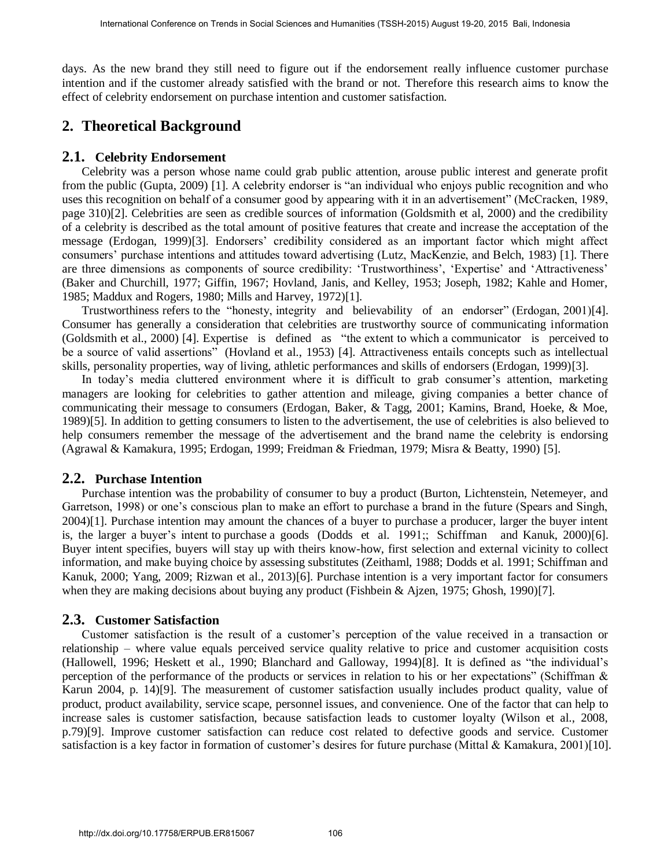days. As the new brand they still need to figure out if the endorsement really influence customer purchase intention and if the customer already satisfied with the brand or not. Therefore this research aims to know the effect of celebrity endorsement on purchase intention and customer satisfaction.

## **2. Theoretical Background**

#### **2.1. Celebrity Endorsement**

Celebrity was a person whose name could grab public attention, arouse public interest and generate profit from the public (Gupta, 2009) [1]. A celebrity endorser is "an individual who enjoys public recognition and who uses this recognition on behalf of a consumer good by appearing with it in an advertisement" (McCracken, 1989, page 310)[2]. Celebrities are seen as credible sources of information (Goldsmith et al, 2000) and the credibility of a celebrity is described as the total amount of positive features that create and increase the acceptation of the message (Erdogan, 1999)[3]. Endorsers' credibility considered as an important factor which might affect consumers' purchase intentions and attitudes toward advertising (Lutz, MacKenzie, and Belch, 1983) [1]. There are three dimensions as components of source credibility: 'Trustworthiness', 'Expertise' and 'Attractiveness' (Baker and Churchill, 1977; Giffin, 1967; Hovland, Janis, and Kelley, 1953; Joseph, 1982; Kahle and Homer, 1985; Maddux and Rogers, 1980; Mills and Harvey, 1972)[1]. Fracture on Trends in Social Science or Urals in Social Sciences and the methods in Social Sciences and August 19-2015 Balistonial and the method in the method in the method in the method in the method in the method in th

Trustworthiness refers to the "honesty, integrity and believability of an endorser" (Erdogan, 2001)[4]. Consumer has generally a consideration that celebrities are trustworthy source of communicating information (Goldsmith et al., 2000) [4]. Expertise is defined as "the extent to which a communicator is perceived to be a source of valid assertions" (Hovland et al., 1953) [4]. Attractiveness entails concepts such as intellectual skills, personality properties, way of living, athletic performances and skills of endorsers (Erdogan, 1999)[3].

In today's media cluttered environment where it is difficult to grab consumer's attention, marketing managers are looking for celebrities to gather attention and mileage, giving companies a better chance of communicating their message to consumers (Erdogan, Baker, & Tagg, 2001; Kamins, Brand, Hoeke, & Moe, 1989)[5]. In addition to getting consumers to listen to the advertisement, the use of celebrities is also believed to help consumers remember the message of the advertisement and the brand name the celebrity is endorsing (Agrawal & Kamakura, 1995; Erdogan, 1999; Freidman & Friedman, 1979; Misra & Beatty, 1990) [5].

#### **2.2. Purchase Intention**

Purchase intention was the probability of consumer to buy a product (Burton, Lichtenstein, Netemeyer, and Garretson, 1998) or one's conscious plan to make an effort to purchase a brand in the future (Spears and Singh, 2004)[1]. Purchase intention may amount the chances of a buyer to purchase a producer, larger the buyer intent is, the larger a buyer's intent to purchase a goods (Dodds et al. 1991;; Schiffman and Kanuk, 2000)[6]. Buyer intent specifies, buyers will stay up with theirs know-how, first selection and external vicinity to collect information, and make buying choice by assessing substitutes (Zeithaml, 1988; Dodds et al. 1991; Schiffman and Kanuk, 2000; Yang, 2009; Rizwan et al., 2013)[6]. Purchase intention is a very important factor for consumers when they are making decisions about buying any product (Fishbein & Ajzen, 1975; Ghosh, 1990)[7].

#### **2.3. Customer Satisfaction**

Customer satisfaction is the result of a customer's perception of the value received in a transaction or relationship – where value equals perceived service quality relative to price and customer acquisition costs (Hallowell, 1996; Heskett et al., 1990; Blanchard and Galloway, 1994)[8]. It is defined as "the individual's perception of the performance of the products or services in relation to his or her expectations" (Schiffman & Karun 2004, p. 14)[9]. The measurement of customer satisfaction usually includes product quality, value of product, product availability, service scape, personnel issues, and convenience. One of the factor that can help to increase sales is customer satisfaction, because satisfaction leads to customer loyalty (Wilson et al., 2008, p.79)[9]. Improve customer satisfaction can reduce cost related to defective goods and service. Customer satisfaction is a key factor in formation of customer's desires for future purchase (Mittal & Kamakura, 2001)[10].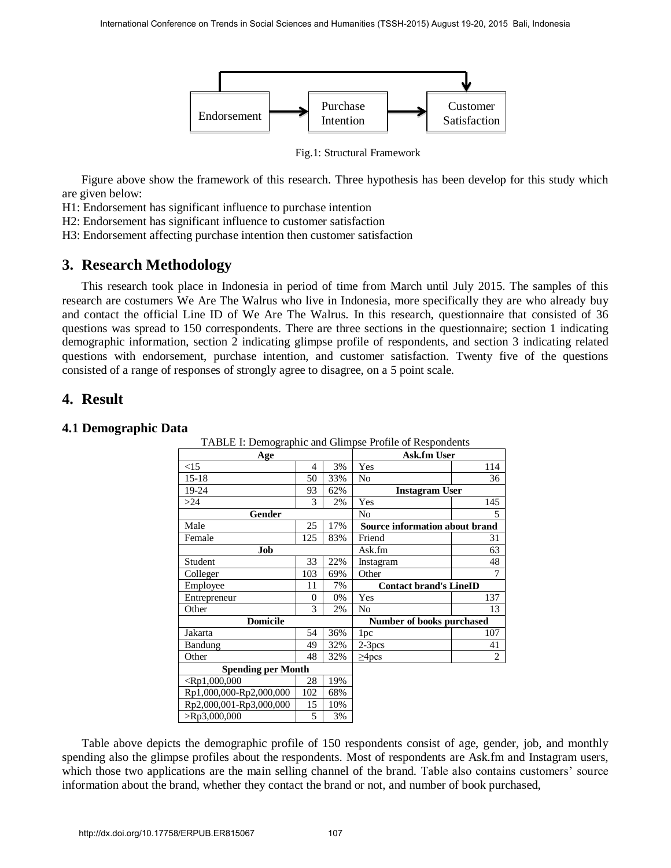

Fig.1: Structural Framework

Figure above show the framework of this research. Three hypothesis has been develop for this study which are given below:

H1: Endorsement has significant influence to purchase intention

H2: Endorsement has significant influence to customer satisfaction

H3: Endorsement affecting purchase intention then customer satisfaction

## **3. Research Methodology**

This research took place in Indonesia in period of time from March until July 2015. The samples of this research are costumers We Are The Walrus who live in Indonesia, more specifically they are who already buy and contact the official Line ID of We Are The Walrus. In this research, questionnaire that consisted of 36 questions was spread to 150 correspondents. There are three sections in the questionnaire; section 1 indicating demographic information, section 2 indicating glimpse profile of respondents, and section 3 indicating related questions with endorsement, purchase intention, and customer satisfaction. Twenty five of the questions consisted of a range of responses of strongly agree to disagree, on a 5 point scale.

## **4. Result**

### **4.1 Demographic Data**

|                             | Endorsement                                                                                           |                   | Purchase<br>Intention |                                | Customer<br>Satisfaction |
|-----------------------------|-------------------------------------------------------------------------------------------------------|-------------------|-----------------------|--------------------------------|--------------------------|
|                             |                                                                                                       |                   |                       | Fig.1: Structural Framework    |                          |
|                             | Figure above show the framework of this research. Three hypothesis has been develop for this study    |                   |                       |                                |                          |
| given below:                |                                                                                                       |                   |                       |                                |                          |
|                             | Endorsement has significant influence to purchase intention                                           |                   |                       |                                |                          |
|                             | Endorsement has significant influence to customer satisfaction                                        |                   |                       |                                |                          |
|                             | Endorsement affecting purchase intention then customer satisfaction                                   |                   |                       |                                |                          |
| <b>Research Methodology</b> |                                                                                                       |                   |                       |                                |                          |
|                             |                                                                                                       |                   |                       |                                |                          |
|                             | This research took place in Indonesia in period of time from March until July 2015. The samples       |                   |                       |                                |                          |
|                             | earch are costumers We Are The Walrus who live in Indonesia, more specifically they are who alrea     |                   |                       |                                |                          |
|                             | contact the official Line ID of We Are The Walrus. In this research, questionnaire that consisted     |                   |                       |                                |                          |
|                             | stions was spread to 150 correspondents. There are three sections in the questionnaire; section 1 inc |                   |                       |                                |                          |
|                             | nographic information, section 2 indicating glimpse profile of respondents, and section 3 indicating  |                   |                       |                                |                          |
|                             | stions with endorsement, purchase intention, and customer satisfaction. Twenty five of the qu         |                   |                       |                                |                          |
|                             | sisted of a range of responses of strongly agree to disagree, on a 5 point scale.                     |                   |                       |                                |                          |
|                             |                                                                                                       |                   |                       |                                |                          |
| <b>Result</b>               |                                                                                                       |                   |                       |                                |                          |
|                             |                                                                                                       |                   |                       |                                |                          |
|                             |                                                                                                       |                   |                       |                                |                          |
|                             |                                                                                                       |                   |                       |                                |                          |
| <b>Demographic Data</b>     |                                                                                                       |                   |                       |                                |                          |
|                             | TABLE I: Demographic and Glimpse Profile of Respondents<br>Age                                        |                   |                       | Ask.fm User                    |                          |
|                             | $\overline{<}15$                                                                                      | $\overline{4}$    | 3%                    | Yes                            | 114                      |
|                             | $15 - 18$                                                                                             | 50                | 33%                   | No                             | 36                       |
|                             | 19-24                                                                                                 | 93                | 62%                   | <b>Instagram User</b>          |                          |
|                             | >24                                                                                                   | 3                 | 2%                    | Yes                            | 145                      |
|                             | Gender                                                                                                |                   |                       | No                             | 5                        |
|                             | Male                                                                                                  | 25                | 17%                   | Source information about brand |                          |
|                             | Female                                                                                                | 125               | 83%                   | Friend                         | 31                       |
|                             | Job                                                                                                   |                   |                       | Ask.fm                         | 63                       |
|                             | Student                                                                                               | 33                | 22%                   | Instagram                      | 48                       |
|                             | Colleger                                                                                              | 103               | 69%                   | Other                          |                          |
|                             | Employee                                                                                              | 11                | 7%                    | <b>Contact brand's LineID</b>  |                          |
|                             | Entrepreneur<br>Other                                                                                 | $\mathbf{0}$<br>3 | $0\%$<br>2%           | Yes<br>N <sub>o</sub>          | 137<br>13                |
|                             | <b>Domicile</b>                                                                                       |                   |                       | Number of books purchased      |                          |
|                             | Jakarta                                                                                               | 54                | 36%                   | 1pc                            | 107                      |
|                             | Bandung                                                                                               | 49                | 32%                   | 2-3pcs                         | 41                       |
|                             | Other                                                                                                 | 48                | 32%                   | $\geq$ 4pcs                    | $\mathfrak{2}$           |
|                             | <b>Spending per Month</b>                                                                             |                   |                       |                                |                          |
|                             | $<$ Rp1,000,000                                                                                       | 28                | 19%                   |                                |                          |
|                             | Rp1,000,000-Rp2,000,000                                                                               | 102               | 68%                   |                                |                          |
|                             | Rp2,000,001-Rp3,000,000                                                                               | 15                | 10%                   |                                |                          |
|                             | $>$ Rp3,000,000                                                                                       | 5                 | 3%                    |                                |                          |
|                             |                                                                                                       |                   |                       |                                |                          |
|                             | Table above depicts the demographic profile of 150 respondents consist of age, gender, job, and r     |                   |                       |                                |                          |
|                             |                                                                                                       |                   |                       |                                |                          |
|                             | nding also the glimpse profiles about the respondents. Most of respondents are Ask.fm and Instagran   |                   |                       |                                |                          |
|                             | ch those two applications are the main selling channel of the brand. Table also contains customers'   |                   |                       |                                |                          |
|                             | primation about the brand, whether they contact the brand or not, and number of book purchased,       |                   |                       |                                |                          |
|                             |                                                                                                       |                   |                       |                                |                          |
|                             |                                                                                                       |                   |                       |                                |                          |
|                             | http://dx.doi.org/10.17758/ERPUB.ER815067                                                             |                   | 107                   |                                |                          |

Table above depicts the demographic profile of 150 respondents consist of age, gender, job, and monthly spending also the glimpse profiles about the respondents. Most of respondents are Ask.fm and Instagram users, which those two applications are the main selling channel of the brand. Table also contains customers' source information about the brand, whether they contact the brand or not, and number of book purchased,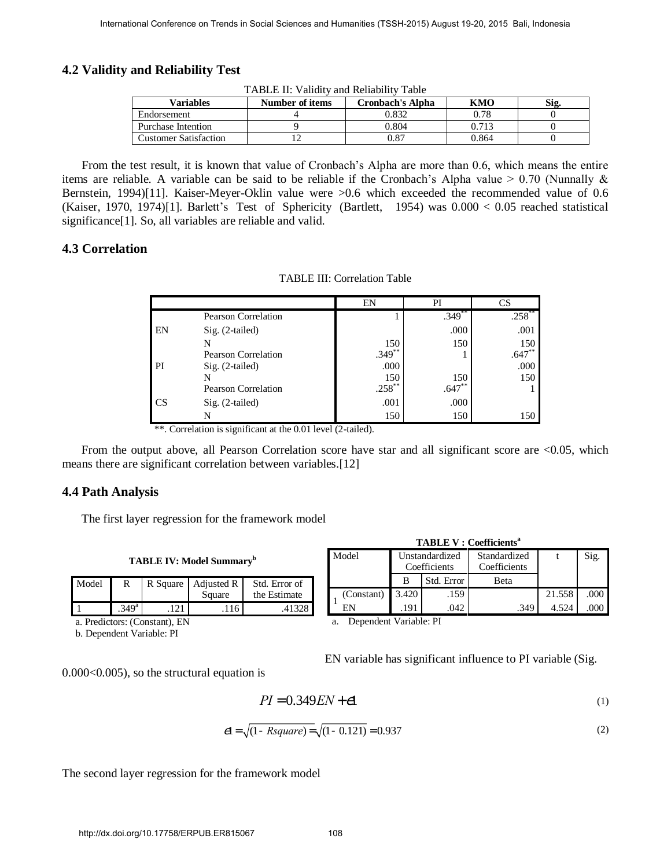#### **4.2 Validity and Reliability Test**

| Variables                    | Number of items | Cronbach's Alpha | кмо   | Sig. |
|------------------------------|-----------------|------------------|-------|------|
| Endorsement                  |                 | 0.832            | 0.78  |      |
| Purchase Intention           |                 | 0.804            |       |      |
| <b>Customer Satisfaction</b> |                 | ).87             | ).864 |      |

From the test result, it is known that value of Cronbach's Alpha are more than 0.6, which means the entire items are reliable. A variable can be said to be reliable if the Cronbach's Alpha value  $> 0.70$  (Nunnally  $\&$ Bernstein, 1994)[11]. Kaiser-Meyer-Oklin value were >0.6 which exceeded the recommended value of 0.6 (Kaiser, 1970, 1974)[1]. Barlett's Test of Sphericity (Bartlett, 1954) was 0.000 < 0.05 reached statistical significance<sup>[1]</sup>. So, all variables are reliable and valid.

### **4.3 Correlation**

|                    |                                                                                                                                                                                                                                                                                                                                                                                                                                                                          | TABLE II: Validity and Reliability Table                     |                                     |                                |                                                      |                          |
|--------------------|--------------------------------------------------------------------------------------------------------------------------------------------------------------------------------------------------------------------------------------------------------------------------------------------------------------------------------------------------------------------------------------------------------------------------------------------------------------------------|--------------------------------------------------------------|-------------------------------------|--------------------------------|------------------------------------------------------|--------------------------|
|                    | <b>Variables</b><br>Endorsement                                                                                                                                                                                                                                                                                                                                                                                                                                          | Number of items<br>4                                         | <b>Cronbach's Alpha</b><br>0.832    |                                | <b>KMO</b><br>0.78                                   | Sig.<br>$\boldsymbol{0}$ |
|                    | Purchase Intention                                                                                                                                                                                                                                                                                                                                                                                                                                                       | 9                                                            | 0.804                               |                                | 0.713                                                | 0                        |
|                    | <b>Customer Satisfaction</b>                                                                                                                                                                                                                                                                                                                                                                                                                                             | 12                                                           | 0.87                                |                                | 0.864                                                | $\boldsymbol{0}$         |
| <b>Correlation</b> | From the test result, it is known that value of Cronbach's Alpha are more than 0.6, which means the<br>as are reliable. A variable can be said to be reliable if the Cronbach's Alpha value $> 0.70$ (Nuni<br>nstein, 1994)[11]. Kaiser-Meyer-Oklin value were >0.6 which exceeded the recommended value<br>iser, 1970, 1974)[1]. Barlett's Test of Sphericity (Bartlett, 1954) was $0.000 < 0.05$ reached sta<br>ificance[1]. So, all variables are reliable and valid. |                                                              |                                     |                                |                                                      |                          |
|                    |                                                                                                                                                                                                                                                                                                                                                                                                                                                                          |                                                              | <b>TABLE III: Correlation Table</b> |                                |                                                      |                          |
|                    |                                                                                                                                                                                                                                                                                                                                                                                                                                                                          |                                                              | EN                                  | PI                             | $\overline{\text{CS}}$                               |                          |
|                    |                                                                                                                                                                                                                                                                                                                                                                                                                                                                          | Pearson Correlation                                          | $\mathbf{1}$                        | .349                           | $.258$ <sup>*</sup>                                  |                          |
|                    | EN<br>Sig. (2-tailed)                                                                                                                                                                                                                                                                                                                                                                                                                                                    |                                                              |                                     | .000                           | .001                                                 |                          |
|                    | N                                                                                                                                                                                                                                                                                                                                                                                                                                                                        | Pearson Correlation                                          | 150<br>$.349**$                     | 150                            | 150<br>$.647**$<br>1                                 |                          |
|                    | PI<br>Sig. (2-tailed)                                                                                                                                                                                                                                                                                                                                                                                                                                                    |                                                              | .000                                |                                | .000                                                 |                          |
|                    | N                                                                                                                                                                                                                                                                                                                                                                                                                                                                        |                                                              | 150                                 |                                | 150<br>150                                           |                          |
|                    |                                                                                                                                                                                                                                                                                                                                                                                                                                                                          | Pearson Correlation                                          | $.258***$                           | $.647**$                       | 1                                                    |                          |
|                    | $\overline{\text{CS}}$<br>Sig. (2-tailed)<br>N                                                                                                                                                                                                                                                                                                                                                                                                                           |                                                              | .001<br>150                         | .000<br>150                    | 150                                                  |                          |
|                    |                                                                                                                                                                                                                                                                                                                                                                                                                                                                          | **. Correlation is significant at the 0.01 level (2-tailed). |                                     |                                |                                                      |                          |
|                    | <b>Path Analysis</b>                                                                                                                                                                                                                                                                                                                                                                                                                                                     |                                                              |                                     |                                |                                                      |                          |
|                    | The first layer regression for the framework model                                                                                                                                                                                                                                                                                                                                                                                                                       |                                                              |                                     |                                |                                                      |                          |
|                    |                                                                                                                                                                                                                                                                                                                                                                                                                                                                          |                                                              |                                     |                                | <b>TABLE V : Coefficients<sup>a</sup></b>            |                          |
|                    | <b>TABLE IV: Model Summary</b> <sup>b</sup>                                                                                                                                                                                                                                                                                                                                                                                                                              |                                                              | Model                               | Unstandardized<br>Coefficients | Standardized<br>Coefficients                         | t                        |
| R                  |                                                                                                                                                                                                                                                                                                                                                                                                                                                                          |                                                              |                                     | Std. Error<br>B                | Beta                                                 |                          |
| Model              | R Square<br>Adjusted R<br>Square                                                                                                                                                                                                                                                                                                                                                                                                                                         | Std. Error of<br>the Estimate                                | (Constant)                          | 3.420<br>.159                  |                                                      | 21.558                   |
| .349 <sup>a</sup>  | .121<br>.116                                                                                                                                                                                                                                                                                                                                                                                                                                                             | .41328                                                       | EN                                  | .191<br>.042                   | .349                                                 | 4.524                    |
|                    | . Predictors: (Constant), EN<br>. Dependent Variable: PI                                                                                                                                                                                                                                                                                                                                                                                                                 |                                                              | Dependent Variable: PI<br>a.        |                                |                                                      |                          |
|                    |                                                                                                                                                                                                                                                                                                                                                                                                                                                                          |                                                              |                                     |                                | EN variable has significant influence to PI variable |                          |
|                    | 00<0.005), so the structural equation is                                                                                                                                                                                                                                                                                                                                                                                                                                 |                                                              |                                     |                                |                                                      |                          |
|                    |                                                                                                                                                                                                                                                                                                                                                                                                                                                                          | $PI = 0.349EN + \theta 1$                                    |                                     |                                |                                                      |                          |
|                    |                                                                                                                                                                                                                                                                                                                                                                                                                                                                          | $el = \sqrt{(1 - Rsquare)} = \sqrt{(1 - 0.121)} = 0.937$     |                                     |                                |                                                      |                          |
|                    | e second layer regression for the framework model                                                                                                                                                                                                                                                                                                                                                                                                                        |                                                              |                                     |                                |                                                      |                          |

#### TABLE III: Correlation Table

From the output above, all Pearson Correlation score have star and all significant score are <0.05, which means there are significant correlation between variables.[12]

#### **4.4 Path Analysis**

| <b>TABLE IV: Model Summary</b> <sup>D</sup> |                   |      |                                 |                               |  |  |
|---------------------------------------------|-------------------|------|---------------------------------|-------------------------------|--|--|
| Model                                       | R                 |      | R Square   Adjusted R<br>Square | Std. Error of<br>the Estimate |  |  |
|                                             | .349 <sup>a</sup> | .121 | .116                            | .41328                        |  |  |

b. Dependent Variable: PI

|            |                |            | TADLE V : COUNCIUS |        |      |  |  |
|------------|----------------|------------|--------------------|--------|------|--|--|
| Model      | Unstandardized |            | Standardized       |        | Sig. |  |  |
|            | Coefficients   |            | Coefficients       |        |      |  |  |
|            |                | Std. Error | Beta               |        |      |  |  |
| (Constant) | 3.420          | .159       |                    | 21.558 | .000 |  |  |
| EN         | .191           | .042       | .349               | 4.524  | .000 |  |  |
|            |                |            |                    |        |      |  |  |

EN variable has significant influence to PI variable (Sig.

0.000<0.005), so the structural equation is

$$
PI = 0.349EN + \mathcal{C}1 \tag{1}
$$

$$
e1 = \sqrt{(1 - Rsquare)} = \sqrt{(1 - 0.121)} = 0.937
$$
 (2)

The second layer regression for the framework model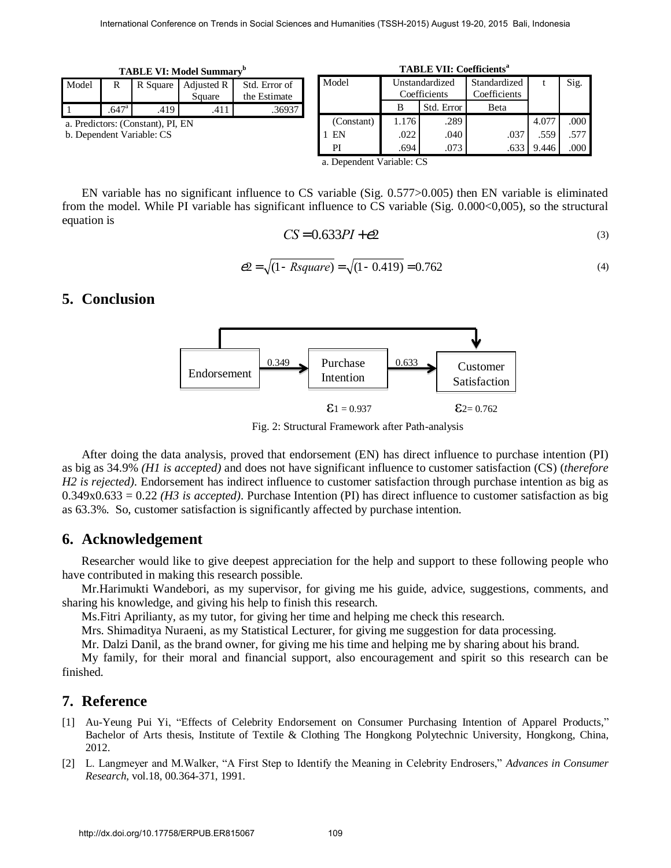| <b>TABLE VI: Model Summary</b> <sup>b</sup> |                                              |                                                                |        |              |  |  |  |  |
|---------------------------------------------|----------------------------------------------|----------------------------------------------------------------|--------|--------------|--|--|--|--|
| Model                                       | Adjusted R<br>Std. Error of<br>R Square<br>R |                                                                |        |              |  |  |  |  |
|                                             |                                              |                                                                | Square | the Estimate |  |  |  |  |
|                                             | .647 <sup>a</sup><br>.419                    |                                                                |        |              |  |  |  |  |
|                                             |                                              | a. Predictors: (Constant), PI, EN<br>b. Dependent Variable: CS |        |              |  |  |  |  |

|  | <b>TABLE VII: Coefficients<sup>a</sup></b> |
|--|--------------------------------------------|
|  |                                            |

| Model      | Unstandardized<br>Coefficients |      | Standardized<br>Coefficients |       | Sig. |
|------------|--------------------------------|------|------------------------------|-------|------|
|            | Std. Error<br>в                |      | Beta                         |       |      |
| (Constant) | 1.176                          | .289 |                              | 4.077 | .000 |
| EN         | .022                           | .040 | .037                         | .559  | .577 |
|            | .694                           | .073 |                              | 446   |      |

a. Dependent Variable: CS

EN variable has no significant influence to CS variable (Sig. 0.577>0.005) then EN variable is eliminated from the model. While PI variable has significant influence to CS variable (Sig. 0.000<0,005), so the structural equation is

$$
CS = 0.633PI + \mathcal{O}2 \tag{3}
$$

$$
e2 = \sqrt{(1 - \text{Rsquare})} = \sqrt{(1 - 0.419)} = 0.762\tag{4}
$$

## **5. Conclusion**



Fig. 2: Structural Framework after Path-analysis

After doing the data analysis, proved that endorsement (EN) has direct influence to purchase intention (PI) as big as 34.9% *(H1 is accepted)* and does not have significant influence to customer satisfaction (CS) (*therefore H2 is rejected).* Endorsement has indirect influence to customer satisfaction through purchase intention as big as 0.349x0.633 = 0.22 *(H3 is accepted)*. Purchase Intention (PI) has direct influence to customer satisfaction as big as 63.3%. So, customer satisfaction is significantly affected by purchase intention.

## **6. Acknowledgement**

Researcher would like to give deepest appreciation for the help and support to these following people who have contributed in making this research possible.

Mr.Harimukti Wandebori, as my supervisor, for giving me his guide, advice, suggestions, comments, and sharing his knowledge, and giving his help to finish this research.

Ms.Fitri Aprilianty, as my tutor, for giving her time and helping me check this research.

Mrs. Shimaditya Nuraeni, as my Statistical Lecturer, for giving me suggestion for data processing.

Mr. Dalzi Danil, as the brand owner, for giving me his time and helping me by sharing about his brand.

My family, for their moral and financial support, also encouragement and spirit so this research can be finished.

## **7. Reference**

- [1] Au-Yeung Pui Yi, "Effects of Celebrity Endorsement on Consumer Purchasing Intention of Apparel Products," Bachelor of Arts thesis, Institute of Textile & Clothing The Hongkong Polytechnic University, Hongkong, China, 2012.
- [2] L. Langmeyer and M.Walker, "A First Step to Identify the Meaning in Celebrity Endrosers," *Advances in Consumer Research*, vol.18, 00.364-371, 1991.